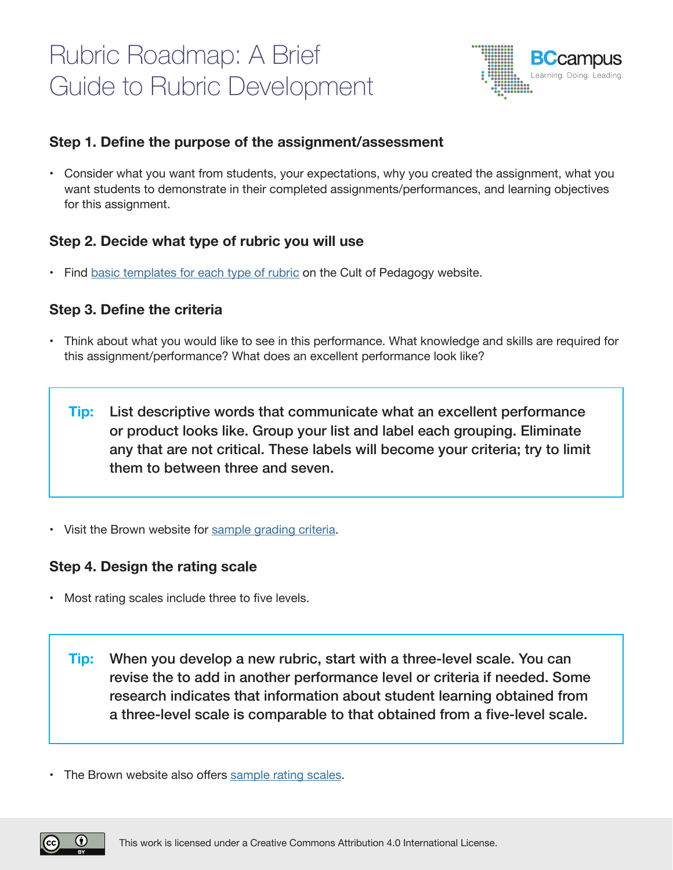# Rubric Roadmap: A Brief Guide to Rubric Development



## **Step 1. Define the purpose of the assignment/assessment**

• Consider what you want from students, your expectations, why you created the assignment, what you want students to demonstrate in their completed assignments/performances, and learning objectives for this assignment.

## **Step 2. Decide what type of rubric you will use**

• Find basic [templates](https://www.cultofpedagogy.com/holistic-analytic-single-point-rubrics/) for each type of rubric on the Cult of Pedagogy website.

## **Step 3. Define the criteria**

• Think about what you would like to see in this performance. What knowledge and skills are required for this assignment/performance? What does an excellent performance look like?

List descriptive words that communicate what an excellent performance or product looks like. Group your list and label each grouping. Eliminate any that are not critical. These labels will become your criteria; try to limit them to between three and seven. **Tip:** 

• Visit the Brown website for sample [grading](https://www.brown.edu/sheridan/teaching-learning-resources/teaching-resources/course-design/classroom-assessment/grading-criteria/rubrics-criteria) criteria.

### **Step 4. Design the rating scale**

• Most rating scales include three to five levels.

When you develop a new rubric, start with a three-level scale. You can revise the to add in another performance level or criteria if needed. Some research indicates that information about student learning obtained from a three-level scale is comparable to that obtained from a five-level scale. **Tip:** 

• The Brown website also offers [sample](https://www.brown.edu/sheridan/teaching-learning-resources/teaching-resources/course-design/classroom-assessment/grading-criteria/rubrics-scales) rating scales.